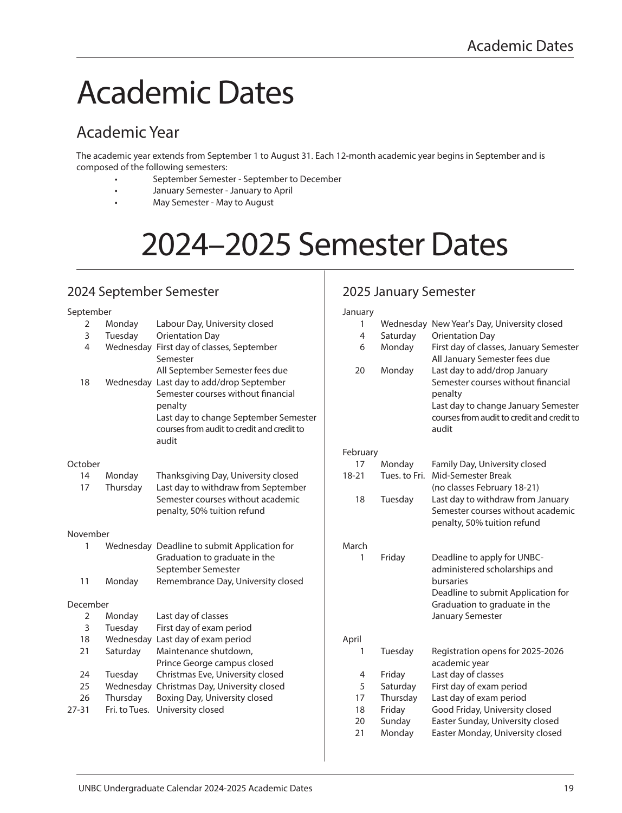## Academic Dates

## Academic Year

The academic year extends from September 1 to August 31. Each 12-month academic year begins in September and is composed of the following semesters:

- September Semester September to December
- January Semester January to April
- May Semester May to August

# 2024–2025 Semester Dates

## 2024 September Semester

## 2025 January Semester

| September      |          |                                                                          | January   |          |                                                                        |
|----------------|----------|--------------------------------------------------------------------------|-----------|----------|------------------------------------------------------------------------|
| 2              | Monday   | Labour Day, University closed                                            | 1         |          | Wednesday New Year's Day, University closed                            |
| 3              | Tuesday  | <b>Orientation Day</b>                                                   | 4         | Saturday | <b>Orientation Day</b>                                                 |
| 4              |          | Wednesday First day of classes, September                                | 6         | Monday   | First day of classes, January Semester                                 |
|                |          | Semester                                                                 |           |          | All January Semester fees due                                          |
|                |          | All September Semester fees due                                          | 20        | Monday   | Last day to add/drop January                                           |
| 18             |          | Wednesday Last day to add/drop September                                 |           |          | Semester courses without financial                                     |
|                |          | Semester courses without financial                                       |           |          | penalty                                                                |
|                |          | penalty                                                                  |           |          | Last day to change January Semester                                    |
|                |          | Last day to change September Semester                                    |           |          | courses from audit to credit and credit to                             |
|                |          | courses from audit to credit and credit to                               |           |          | audit                                                                  |
|                |          | audit                                                                    |           |          |                                                                        |
|                |          |                                                                          | February  |          |                                                                        |
| October        |          |                                                                          | 17        | Monday   | Family Day, University closed                                          |
| 14             | Monday   | Thanksgiving Day, University closed                                      | $18 - 21$ |          | Tues, to Fri. Mid-Semester Break                                       |
| 17             | Thursday | Last day to withdraw from September<br>Semester courses without academic |           |          | (no classes February 18-21)                                            |
|                |          | penalty, 50% tuition refund                                              | 18        | Tuesday  | Last day to withdraw from January<br>Semester courses without academic |
|                |          |                                                                          |           |          | penalty, 50% tuition refund                                            |
| November       |          |                                                                          |           |          |                                                                        |
| 1              |          | Wednesday Deadline to submit Application for                             | March     |          |                                                                        |
|                |          | Graduation to graduate in the                                            | 1         | Friday   | Deadline to apply for UNBC-                                            |
|                |          | September Semester                                                       |           |          | administered scholarships and                                          |
| 11             | Monday   | Remembrance Day, University closed                                       |           |          | bursaries                                                              |
|                |          |                                                                          |           |          | Deadline to submit Application for                                     |
| December       |          |                                                                          |           |          | Graduation to graduate in the                                          |
| $\overline{2}$ | Monday   | Last day of classes                                                      |           |          | January Semester                                                       |
| 3              | Tuesday  | First day of exam period                                                 |           |          |                                                                        |
| 18             |          | Wednesday Last day of exam period                                        | April     |          |                                                                        |
| 21             | Saturday | Maintenance shutdown,                                                    | 1         | Tuesday  | Registration opens for 2025-2026                                       |
|                |          | Prince George campus closed                                              |           |          | academic year                                                          |
| 24             | Tuesday  | Christmas Eve, University closed                                         | 4         | Friday   | Last day of classes                                                    |
| 25             |          | Wednesday Christmas Day, University closed                               | 5         | Saturday | First day of exam period                                               |
| 26             | Thursday | Boxing Day, University closed                                            | 17        | Thursday | Last day of exam period                                                |
| $27 - 31$      |          | Fri. to Tues. University closed                                          | 18        | Friday   | Good Friday, University closed                                         |
|                |          |                                                                          | 20        | Sunday   | Easter Sunday, University closed                                       |
|                |          |                                                                          | 21        | Monday   | Easter Monday, University closed                                       |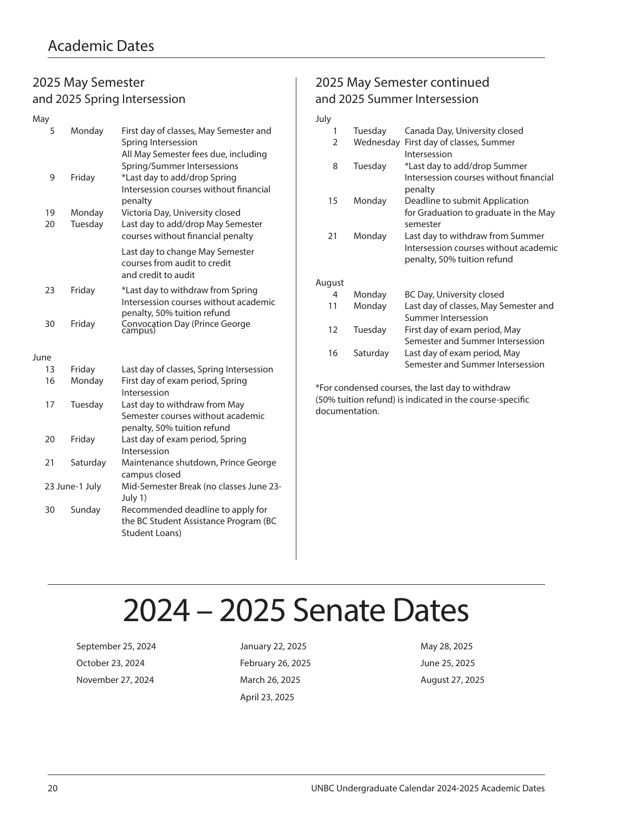### 2025 May Semester and 2025 Spring Intersession

| May  |                |                                                                                                                                      |
|------|----------------|--------------------------------------------------------------------------------------------------------------------------------------|
| 5    | Monday         | First day of classes, May Semester and<br>Spring Intersession<br>All May Semester fees due, including<br>Spring/Summer Intersessions |
| 9    | Friday         | *Last day to add/drop Spring<br>Intersession courses without financial<br>penalty                                                    |
| 19   | Monday         | Victoria Day, University closed                                                                                                      |
| 20   | Tuesday        | Last day to add/drop May Semester<br>courses without financial penalty                                                               |
|      |                | Last day to change May Semester<br>courses from audit to credit<br>and credit to audit                                               |
| 23   | Friday         | *Last day to withdraw from Spring<br>Intersession courses without academic<br>penalty, 50% tuition refund                            |
| 30   | Friday         | Convocation Day (Prince George<br>campus)                                                                                            |
| June |                |                                                                                                                                      |
| 13   | Friday         | Last day of classes, Spring Intersession                                                                                             |
| 16   | Monday         | First day of exam period, Spring<br>Intersession                                                                                     |
| 17   | Tuesday        | Last day to withdraw from May<br>Semester courses without academic<br>penalty, 50% tuition refund                                    |
| 20   | Friday         | Last day of exam period, Spring<br>Intersession                                                                                      |
| 21   | Saturday       | Maintenance shutdown, Prince George<br>campus closed                                                                                 |
|      | 23 June-1 July | Mid-Semester Break (no classes June 23-<br>July 1)                                                                                   |
| 30   | Sunday         | Recommended deadline to apply for<br>the BC Student Assistance Program (BC<br><b>Student Loans)</b>                                  |

## 2025 May Semester continued and 2025 Summer Intersession

#### July 1 Tuesday Canada Day, University closed 2 Wednesday First day of classes, Summer Intersession 8 Tuesday \*Last day to add/drop Summer Intersession courses without financial penalty 15 Monday Deadline to submit Application for Graduation to graduate in the May semester 21 Monday Last day to withdraw from Summer Intersession courses without academic penalty, 50% tuition refund August 4 Monday BC Day, University closed 11 Monday Last day of classes, May Semester and Summer Intersession 12 Tuesday First day of exam period, May Semester and Summer Intersession

16 Saturday Last day of exam period, May Semester and Summer Intersession

\*For condensed courses, the last day to withdraw (50% tuition refund) is indicated in the course-specific documentation.

## 2024 – 2025 Senate Dates

September 25, 2024 January 22, 2025 May 28, 2025 October 23, 2024 February 26, 2025 June 25, 2025 November 27, 2024 **March 26, 2025** August 27, 2025

April 23, 2025